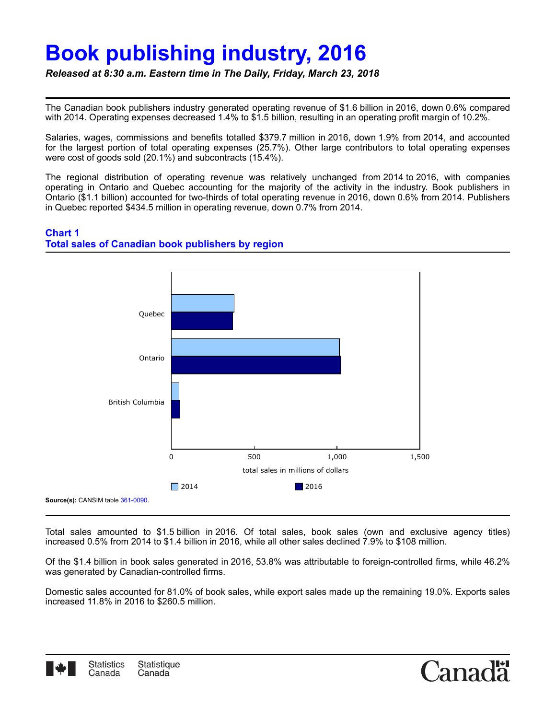## **Book publishing industry, 2016**

*Released at 8:30 a.m. Eastern time in The Daily, Friday, March 23, 2018*

The Canadian book publishers industry generated operating revenue of \$1.6 billion in 2016, down 0.6% compared with 2014. Operating expenses decreased 1.4% to \$1.5 billion, resulting in an operating profit margin of 10.2%.

Salaries, wages, commissions and benefits totalled \$379.7 million in 2016, down 1.9% from 2014, and accounted for the largest portion of total operating expenses (25.7%). Other large contributors to total operating expenses were cost of goods sold (20.1%) and subcontracts (15.4%).

The regional distribution of operating revenue was relatively unchanged from 2014 to 2016, with companies operating in Ontario and Quebec accounting for the majority of the activity in the industry. Book publishers in Ontario (\$1.1 billion) accounted for two-thirds of total operating revenue in 2016, down 0.6% from 2014. Publishers in Quebec reported \$434.5 million in operating revenue, down 0.7% from 2014.

## **Chart 1 Total sales of Canadian book publishers by region**



Total sales amounted to \$1.5 billion in 2016. Of total sales, book sales (own and exclusive agency titles) increased 0.5% from 2014 to \$1.4 billion in 2016, while all other sales declined 7.9% to \$108 million.

Of the \$1.4 billion in book sales generated in 2016, 53.8% was attributable to foreign-controlled firms, while 46.2% was generated by Canadian-controlled firms.

Domestic sales accounted for 81.0% of book sales, while export sales made up the remaining 19.0%. Exports sales increased 11.8% in 2016 to \$260.5 million.